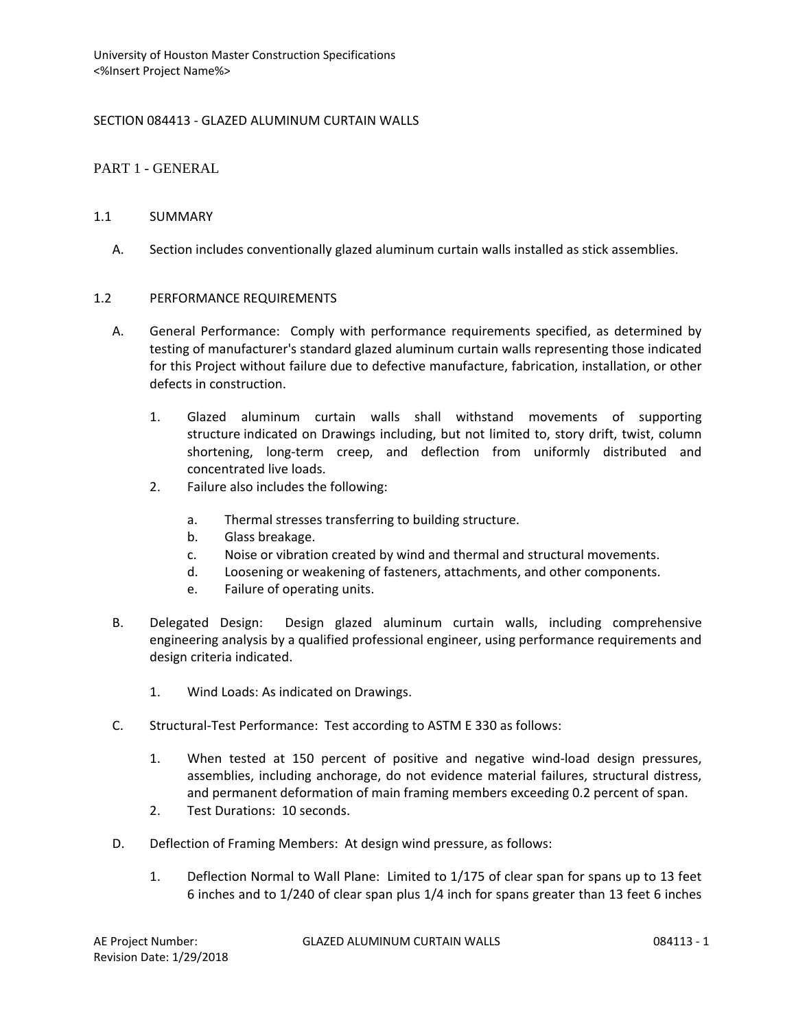## SECTION 084413 - GLAZED ALUMINUM CURTAIN WALLS

## PART 1 - GENERAL

### 1.1 SUMMARY

A. Section includes conventionally glazed aluminum curtain walls installed as stick assemblies.

### 1.2 PERFORMANCE REQUIREMENTS

- A. General Performance: Comply with performance requirements specified, as determined by testing of manufacturer's standard glazed aluminum curtain walls representing those indicated for this Project without failure due to defective manufacture, fabrication, installation, or other defects in construction.
	- 1. Glazed aluminum curtain walls shall withstand movements of supporting structure indicated on Drawings including, but not limited to, story drift, twist, column shortening, long-term creep, and deflection from uniformly distributed and concentrated live loads.
	- 2. Failure also includes the following:
		- a. Thermal stresses transferring to building structure.
		- b. Glass breakage.
		- c. Noise or vibration created by wind and thermal and structural movements.
		- d. Loosening or weakening of fasteners, attachments, and other components.
		- e. Failure of operating units.
- B. Delegated Design: Design glazed aluminum curtain walls, including comprehensive engineering analysis by a qualified professional engineer, using performance requirements and design criteria indicated.
	- 1. Wind Loads: As indicated on Drawings.
- C. Structural-Test Performance: Test according to ASTM E 330 as follows:
	- 1. When tested at 150 percent of positive and negative wind-load design pressures, assemblies, including anchorage, do not evidence material failures, structural distress, and permanent deformation of main framing members exceeding 0.2 percent of span.
	- 2. Test Durations: 10 seconds.
- D. Deflection of Framing Members: At design wind pressure, as follows:
	- 1. Deflection Normal to Wall Plane: Limited to 1/175 of clear span for spans up to 13 feet 6 inches and to 1/240 of clear span plus 1/4 inch for spans greater than 13 feet 6 inches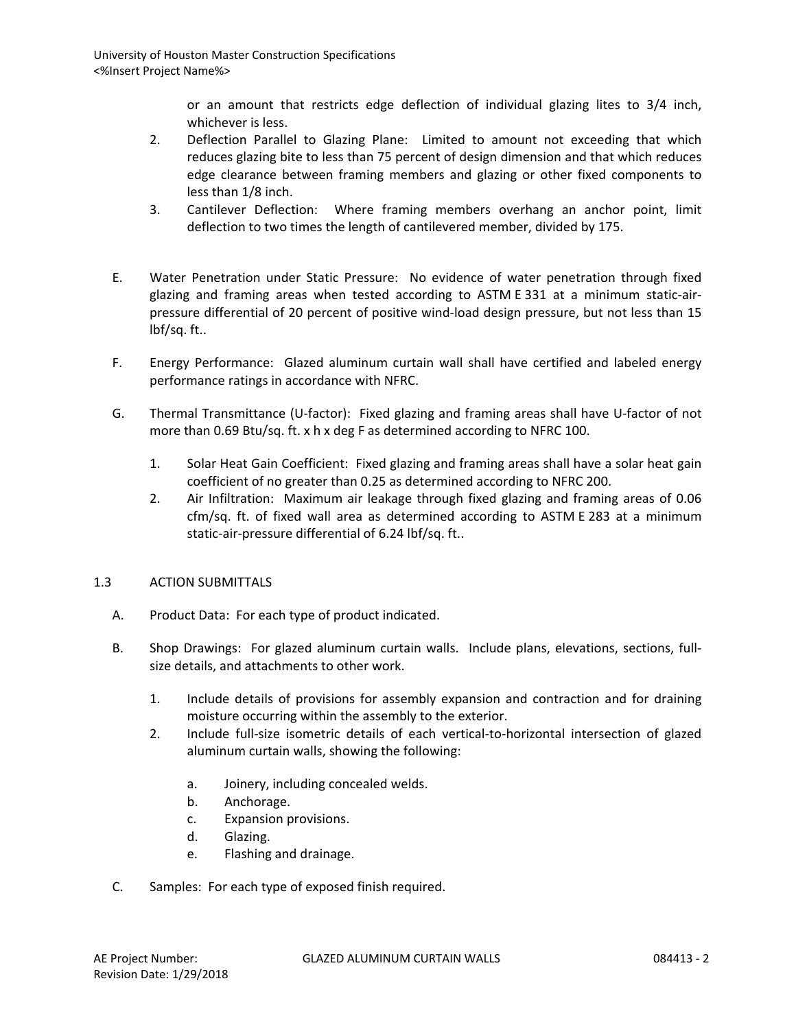or an amount that restricts edge deflection of individual glazing lites to 3/4 inch, whichever is less.

- 2. Deflection Parallel to Glazing Plane: Limited to amount not exceeding that which reduces glazing bite to less than 75 percent of design dimension and that which reduces edge clearance between framing members and glazing or other fixed components to less than 1/8 inch.
- 3. Cantilever Deflection: Where framing members overhang an anchor point, limit deflection to two times the length of cantilevered member, divided by 175.
- E. Water Penetration under Static Pressure: No evidence of water penetration through fixed glazing and framing areas when tested according to ASTM E 331 at a minimum static-airpressure differential of 20 percent of positive wind-load design pressure, but not less than 15 lbf/sq. ft..
- F. Energy Performance: Glazed aluminum curtain wall shall have certified and labeled energy performance ratings in accordance with NFRC.
- G. Thermal Transmittance (U-factor): Fixed glazing and framing areas shall have U-factor of not more than 0.69 Btu/sq. ft. x h x deg F as determined according to NFRC 100.
	- 1. Solar Heat Gain Coefficient: Fixed glazing and framing areas shall have a solar heat gain coefficient of no greater than 0.25 as determined according to NFRC 200.
	- 2. Air Infiltration: Maximum air leakage through fixed glazing and framing areas of 0.06 cfm/sq. ft. of fixed wall area as determined according to ASTM E 283 at a minimum static-air-pressure differential of 6.24 lbf/sq. ft..

# 1.3 ACTION SUBMITTALS

- A. Product Data: For each type of product indicated.
- B. Shop Drawings: For glazed aluminum curtain walls. Include plans, elevations, sections, fullsize details, and attachments to other work.
	- 1. Include details of provisions for assembly expansion and contraction and for draining moisture occurring within the assembly to the exterior.
	- 2. Include full-size isometric details of each vertical-to-horizontal intersection of glazed aluminum curtain walls, showing the following:
		- a. Joinery, including concealed welds.
		- b. Anchorage.
		- c. Expansion provisions.
		- d. Glazing.
		- e. Flashing and drainage.
- C. Samples: For each type of exposed finish required.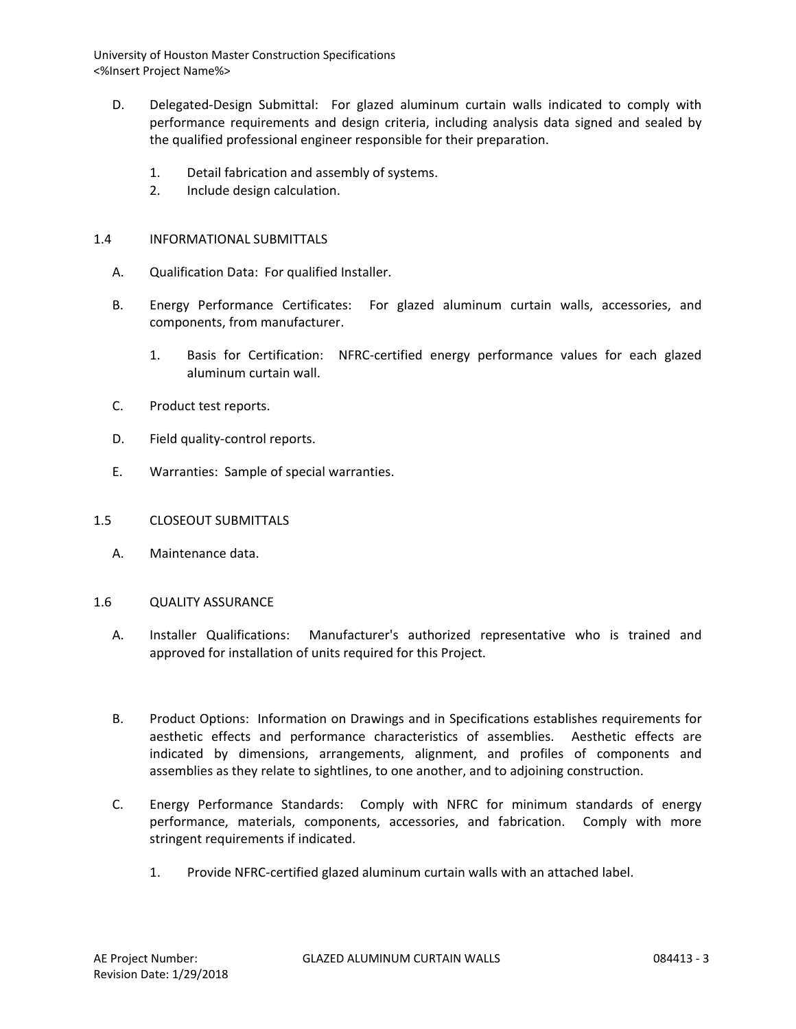- D. Delegated-Design Submittal: For glazed aluminum curtain walls indicated to comply with performance requirements and design criteria, including analysis data signed and sealed by the qualified professional engineer responsible for their preparation.
	- 1. Detail fabrication and assembly of systems.
	- 2. Include design calculation.

### 1.4 INFORMATIONAL SUBMITTALS

- A. Qualification Data: For qualified Installer.
- B. Energy Performance Certificates: For glazed aluminum curtain walls, accessories, and components, from manufacturer.
	- 1. Basis for Certification: NFRC-certified energy performance values for each glazed aluminum curtain wall.
- C. Product test reports.
- D. Field quality-control reports.
- E. Warranties: Sample of special warranties.
- 1.5 CLOSEOUT SUBMITTALS
	- A. Maintenance data.

#### 1.6 QUALITY ASSURANCE

- A. Installer Qualifications: Manufacturer's authorized representative who is trained and approved for installation of units required for this Project.
- B. Product Options: Information on Drawings and in Specifications establishes requirements for aesthetic effects and performance characteristics of assemblies. Aesthetic effects are indicated by dimensions, arrangements, alignment, and profiles of components and assemblies as they relate to sightlines, to one another, and to adjoining construction.
- C. Energy Performance Standards: Comply with NFRC for minimum standards of energy performance, materials, components, accessories, and fabrication. Comply with more stringent requirements if indicated.
	- 1. Provide NFRC-certified glazed aluminum curtain walls with an attached label.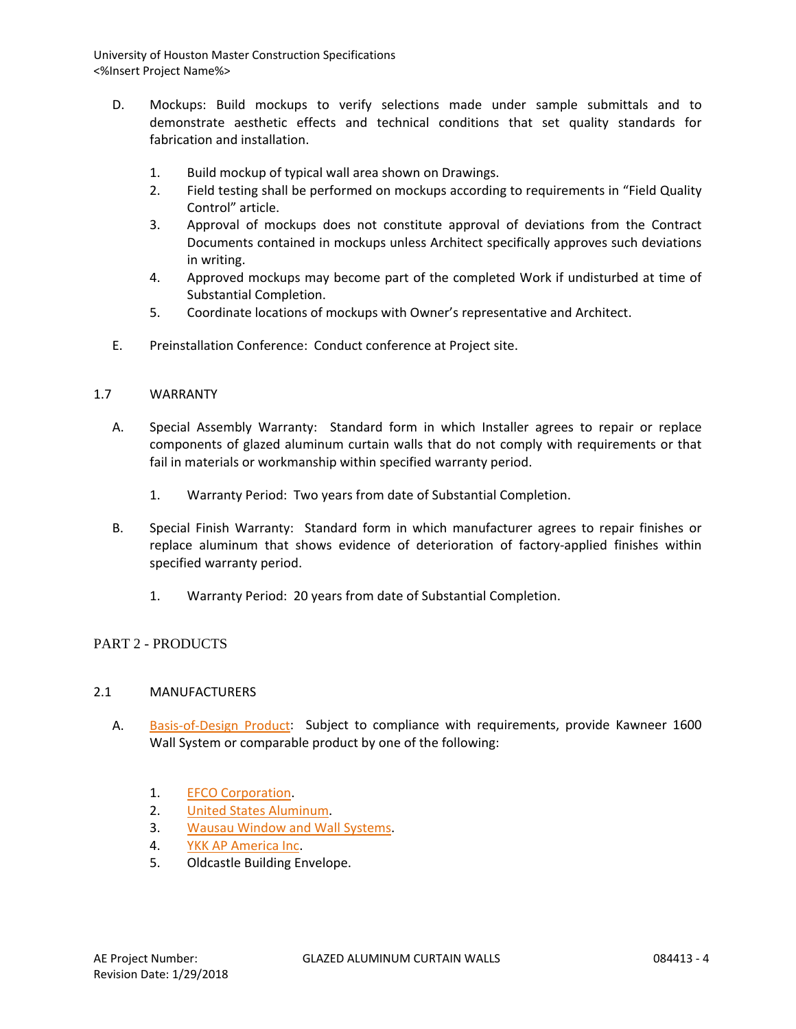- D. Mockups: Build mockups to verify selections made under sample submittals and to demonstrate aesthetic effects and technical conditions that set quality standards for fabrication and installation.
	- 1. Build mockup of typical wall area shown on Drawings.
	- 2. Field testing shall be performed on mockups according to requirements in "Field Quality Control" article.
	- 3. Approval of mockups does not constitute approval of deviations from the Contract Documents contained in mockups unless Architect specifically approves such deviations in writing.
	- 4. Approved mockups may become part of the completed Work if undisturbed at time of Substantial Completion.
	- 5. Coordinate locations of mockups with Owner's representative and Architect.
- E. Preinstallation Conference: Conduct conference at Project site.

# 1.7 WARRANTY

- A. Special Assembly Warranty: Standard form in which Installer agrees to repair or replace components of glazed aluminum curtain walls that do not comply with requirements or that fail in materials or workmanship within specified warranty period.
	- 1. Warranty Period: Two years from date of Substantial Completion.
- B. Special Finish Warranty: Standard form in which manufacturer agrees to repair finishes or replace aluminum that shows evidence of deterioration of factory-applied finishes within specified warranty period.
	- 1. Warranty Period: 20 years from date of Substantial Completion.

# PART 2 - PRODUCTS

# 2.1 MANUFACTURERS

- A. [Basis-of-Design Product:](http://www.specagent.com/LookUp/?ulid=473&mf=04&src=wd) Subject to compliance with requirements, provide Kawneer 1600 Wall System or comparable product by one of the following:
	- 1. [EFCO Corporation.](http://www.specagent.com/LookUp/?uid=123456794990&mf=04&src=wd)
	- 2. [United States Aluminum.](http://www.specagent.com/LookUp/?uid=123456795004&mf=04&src=wd)
	- 3. [Wausau Window and Wall Systems.](http://www.specagent.com/LookUp/?uid=123456795008&mf=04&src=wd)
	- 4. [YKK AP America Inc.](http://www.specagent.com/LookUp/?uid=123456795010&mf=04&src=wd)
	- 5. Oldcastle Building Envelope.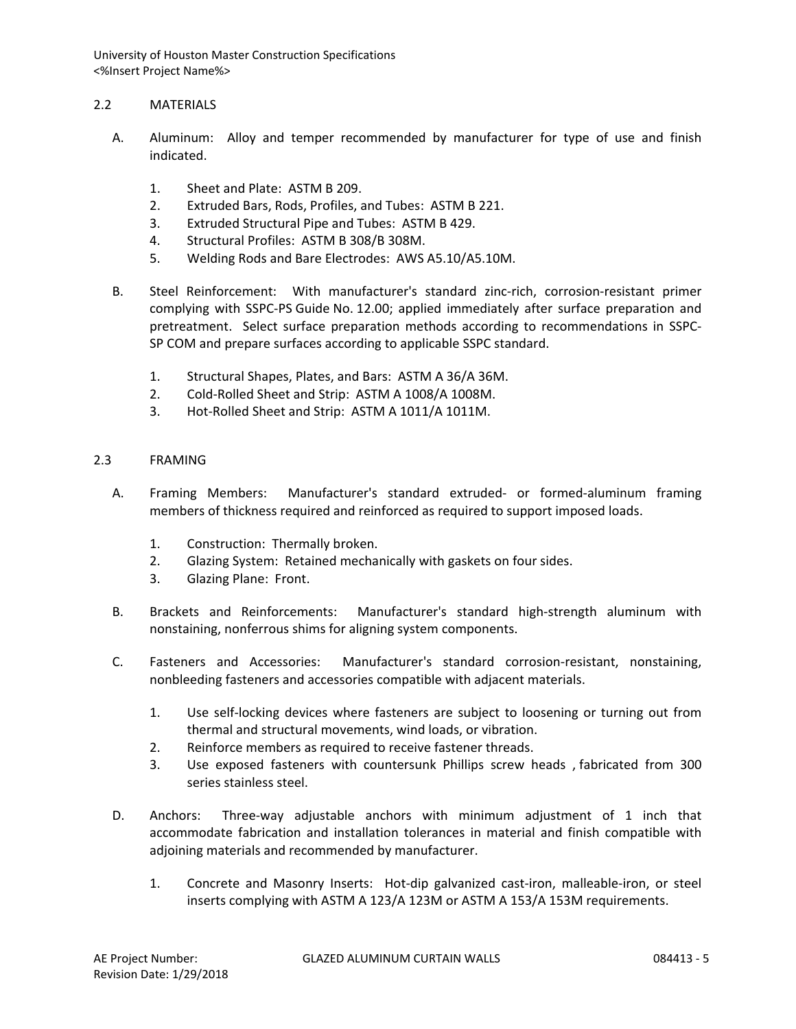## 2.2 MATERIALS

- A. Aluminum: Alloy and temper recommended by manufacturer for type of use and finish indicated.
	- 1. Sheet and Plate: ASTM B 209.
	- 2. Extruded Bars, Rods, Profiles, and Tubes: ASTM B 221.
	- 3. Extruded Structural Pipe and Tubes: ASTM B 429.
	- 4. Structural Profiles: ASTM B 308/B 308M.
	- 5. Welding Rods and Bare Electrodes: AWS A5.10/A5.10M.
- B. Steel Reinforcement: With manufacturer's standard zinc-rich, corrosion-resistant primer complying with SSPC-PS Guide No. 12.00; applied immediately after surface preparation and pretreatment. Select surface preparation methods according to recommendations in SSPC-SP COM and prepare surfaces according to applicable SSPC standard.
	- 1. Structural Shapes, Plates, and Bars: ASTM A 36/A 36M.
	- 2. Cold-Rolled Sheet and Strip: ASTM A 1008/A 1008M.
	- 3. Hot-Rolled Sheet and Strip: ASTM A 1011/A 1011M.

#### 2.3 FRAMING

- A. Framing Members: Manufacturer's standard extruded- or formed-aluminum framing members of thickness required and reinforced as required to support imposed loads.
	- 1. Construction: Thermally broken.
	- 2. Glazing System: Retained mechanically with gaskets on four sides.
	- 3. Glazing Plane: Front.
- B. Brackets and Reinforcements: Manufacturer's standard high-strength aluminum with nonstaining, nonferrous shims for aligning system components.
- C. Fasteners and Accessories: Manufacturer's standard corrosion-resistant, nonstaining, nonbleeding fasteners and accessories compatible with adjacent materials.
	- 1. Use self-locking devices where fasteners are subject to loosening or turning out from thermal and structural movements, wind loads, or vibration.
	- 2. Reinforce members as required to receive fastener threads.
	- 3. Use exposed fasteners with countersunk Phillips screw heads , fabricated from 300 series stainless steel.
- D. Anchors: Three-way adjustable anchors with minimum adjustment of 1 inch that accommodate fabrication and installation tolerances in material and finish compatible with adjoining materials and recommended by manufacturer.
	- 1. Concrete and Masonry Inserts: Hot-dip galvanized cast-iron, malleable-iron, or steel inserts complying with ASTM A 123/A 123M or ASTM A 153/A 153M requirements.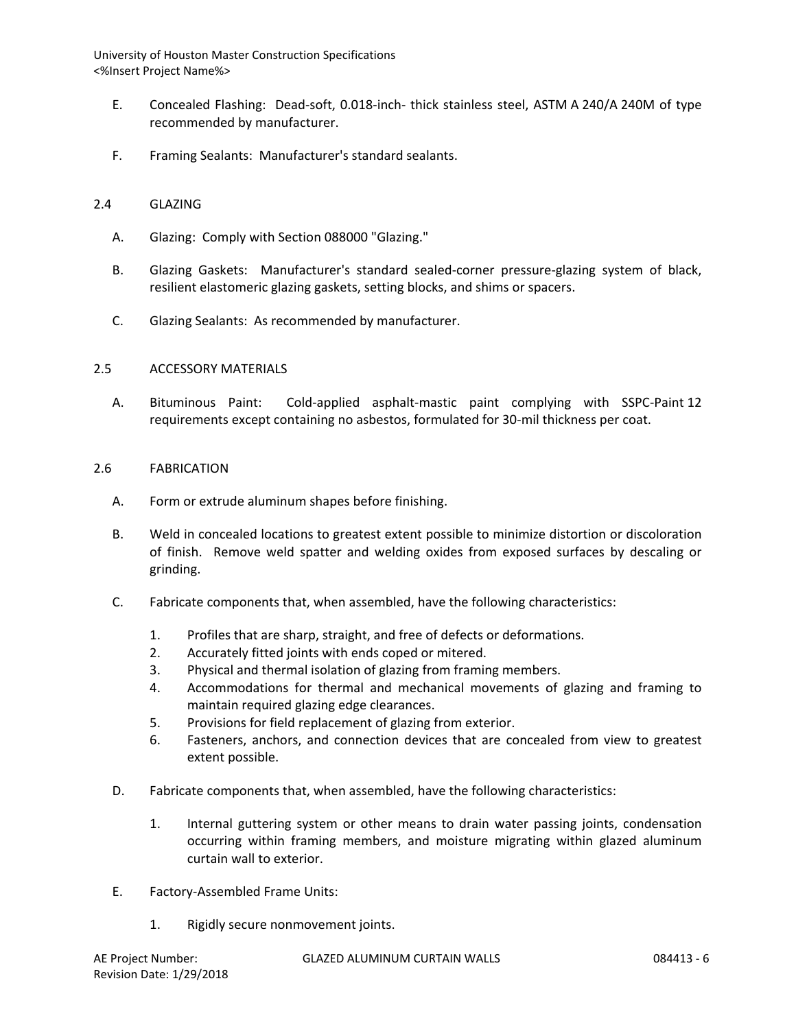- E. Concealed Flashing: Dead-soft, 0.018-inch- thick stainless steel, ASTM A 240/A 240M of type recommended by manufacturer.
- F. Framing Sealants: Manufacturer's standard sealants.

#### 2.4 GLAZING

- A. Glazing: Comply with Section 088000 "Glazing."
- B. Glazing Gaskets: Manufacturer's standard sealed-corner pressure-glazing system of black, resilient elastomeric glazing gaskets, setting blocks, and shims or spacers.
- C. Glazing Sealants: As recommended by manufacturer.

#### 2.5 ACCESSORY MATERIALS

A. Bituminous Paint: Cold-applied asphalt-mastic paint complying with SSPC-Paint 12 requirements except containing no asbestos, formulated for 30-mil thickness per coat.

#### 2.6 FABRICATION

- A. Form or extrude aluminum shapes before finishing.
- B. Weld in concealed locations to greatest extent possible to minimize distortion or discoloration of finish. Remove weld spatter and welding oxides from exposed surfaces by descaling or grinding.
- C. Fabricate components that, when assembled, have the following characteristics:
	- 1. Profiles that are sharp, straight, and free of defects or deformations.
	- 2. Accurately fitted joints with ends coped or mitered.
	- 3. Physical and thermal isolation of glazing from framing members.
	- 4. Accommodations for thermal and mechanical movements of glazing and framing to maintain required glazing edge clearances.
	- 5. Provisions for field replacement of glazing from exterior.
	- 6. Fasteners, anchors, and connection devices that are concealed from view to greatest extent possible.
- D. Fabricate components that, when assembled, have the following characteristics:
	- 1. Internal guttering system or other means to drain water passing joints, condensation occurring within framing members, and moisture migrating within glazed aluminum curtain wall to exterior.
- E. Factory-Assembled Frame Units:
	- 1. Rigidly secure nonmovement joints.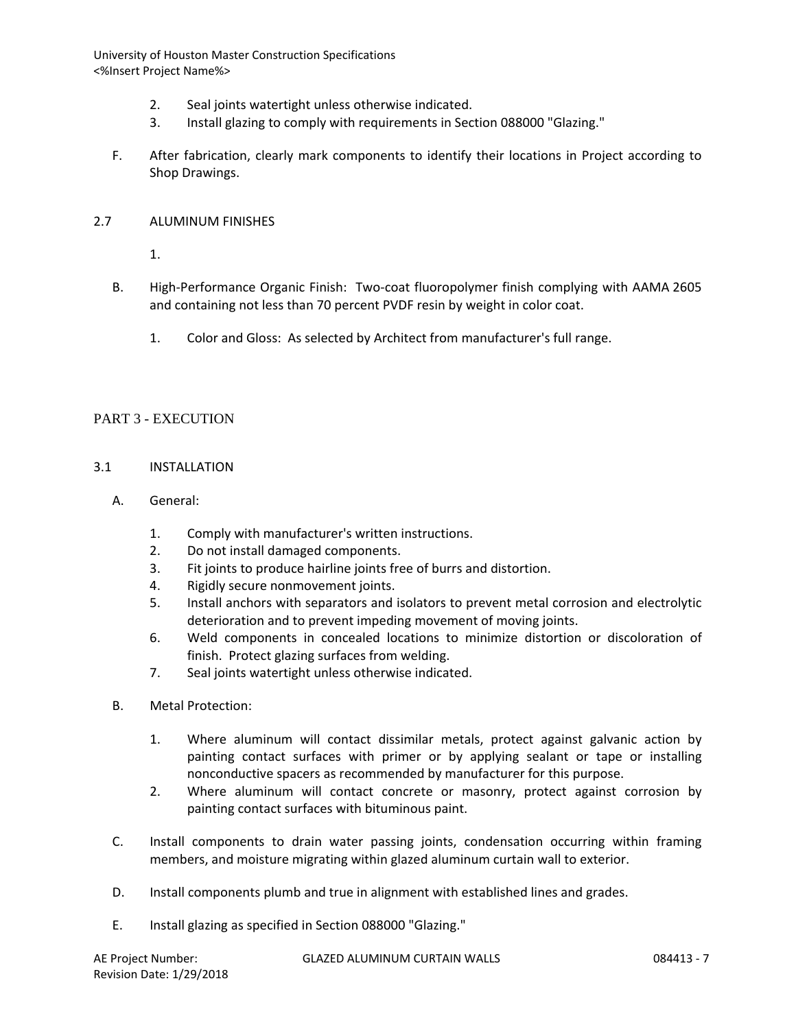- 2. Seal joints watertight unless otherwise indicated.
- 3. Install glazing to comply with requirements in Section 088000 "Glazing."
- F. After fabrication, clearly mark components to identify their locations in Project according to Shop Drawings.

### 2.7 ALUMINUM FINISHES

1.

- B. High-Performance Organic Finish: Two-coat fluoropolymer finish complying with AAMA 2605 and containing not less than 70 percent PVDF resin by weight in color coat.
	- 1. Color and Gloss: As selected by Architect from manufacturer's full range.

# PART 3 - EXECUTION

### 3.1 INSTALLATION

- A. General:
	- 1. Comply with manufacturer's written instructions.
	- 2. Do not install damaged components.
	- 3. Fit joints to produce hairline joints free of burrs and distortion.
	- 4. Rigidly secure nonmovement joints.
	- 5. Install anchors with separators and isolators to prevent metal corrosion and electrolytic deterioration and to prevent impeding movement of moving joints.
	- 6. Weld components in concealed locations to minimize distortion or discoloration of finish. Protect glazing surfaces from welding.
	- 7. Seal joints watertight unless otherwise indicated.
- B. Metal Protection:
	- 1. Where aluminum will contact dissimilar metals, protect against galvanic action by painting contact surfaces with primer or by applying sealant or tape or installing nonconductive spacers as recommended by manufacturer for this purpose.
	- 2. Where aluminum will contact concrete or masonry, protect against corrosion by painting contact surfaces with bituminous paint.
- C. Install components to drain water passing joints, condensation occurring within framing members, and moisture migrating within glazed aluminum curtain wall to exterior.
- D. Install components plumb and true in alignment with established lines and grades.
- E. Install glazing as specified in Section 088000 "Glazing."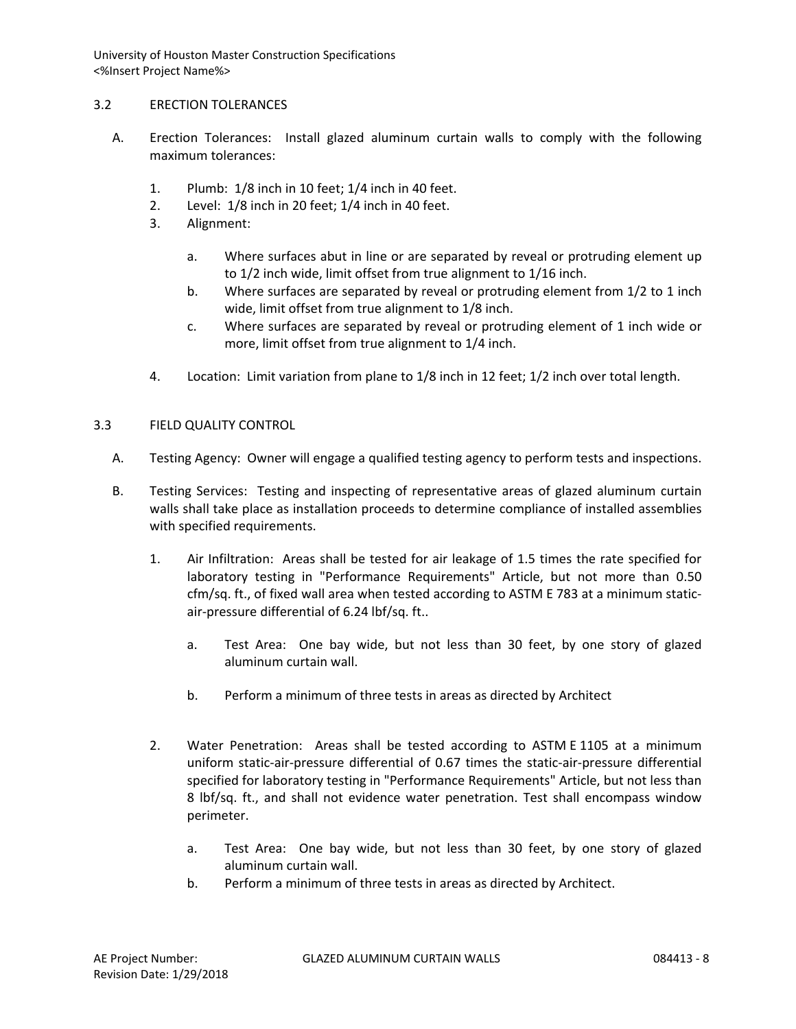## 3.2 ERECTION TOLERANCES

- A. Erection Tolerances: Install glazed aluminum curtain walls to comply with the following maximum tolerances:
	- 1. Plumb: 1/8 inch in 10 feet; 1/4 inch in 40 feet.
	- 2. Level: 1/8 inch in 20 feet; 1/4 inch in 40 feet.
	- 3. Alignment:
		- a. Where surfaces abut in line or are separated by reveal or protruding element up to 1/2 inch wide, limit offset from true alignment to 1/16 inch.
		- b. Where surfaces are separated by reveal or protruding element from 1/2 to 1 inch wide, limit offset from true alignment to 1/8 inch.
		- c. Where surfaces are separated by reveal or protruding element of 1 inch wide or more, limit offset from true alignment to 1/4 inch.
	- 4. Location: Limit variation from plane to 1/8 inch in 12 feet; 1/2 inch over total length.

### 3.3 FIELD QUALITY CONTROL

- A. Testing Agency: Owner will engage a qualified testing agency to perform tests and inspections.
- B. Testing Services: Testing and inspecting of representative areas of glazed aluminum curtain walls shall take place as installation proceeds to determine compliance of installed assemblies with specified requirements.
	- 1. Air Infiltration: Areas shall be tested for air leakage of 1.5 times the rate specified for laboratory testing in "Performance Requirements" Article, but not more than 0.50 cfm/sq. ft., of fixed wall area when tested according to ASTM E 783 at a minimum staticair-pressure differential of 6.24 lbf/sq. ft..
		- a. Test Area: One bay wide, but not less than 30 feet, by one story of glazed aluminum curtain wall.
		- b. Perform a minimum of three tests in areas as directed by Architect
	- 2. Water Penetration: Areas shall be tested according to ASTM E 1105 at a minimum uniform static-air-pressure differential of 0.67 times the static-air-pressure differential specified for laboratory testing in "Performance Requirements" Article, but not less than 8 lbf/sq. ft., and shall not evidence water penetration. Test shall encompass window perimeter.
		- a. Test Area: One bay wide, but not less than 30 feet, by one story of glazed aluminum curtain wall.
		- b. Perform a minimum of three tests in areas as directed by Architect.